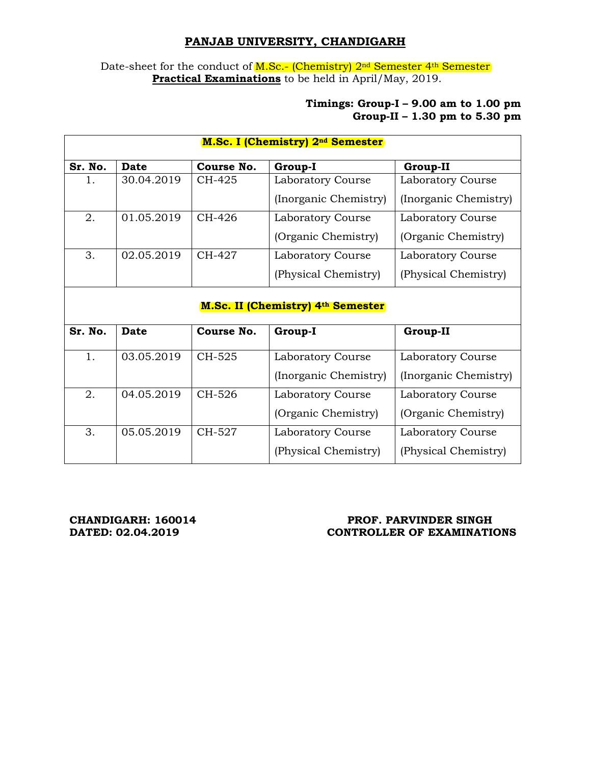## **PANJAB UNIVERSITY, CHANDIGARH**

Date-sheet for the conduct of M.Sc.- (Chemistry) 2<sup>nd</sup> Semester 4<sup>th</sup> Semester **Practical Examinations** to be held in April/May, 2019.

## **Timings: Group-I – 9.00 am to 1.00 pm Group-II – 1.30 pm to 5.30 pm**

| <b>M.Sc. I (Chemistry) 2nd Semester</b>  |             |            |                       |                       |
|------------------------------------------|-------------|------------|-----------------------|-----------------------|
| Sr. No.                                  | <b>Date</b> | Course No. | Group-I               | <b>Group-II</b>       |
| $1_{-}$                                  | 30.04.2019  | CH-425     | Laboratory Course     | Laboratory Course     |
|                                          |             |            | (Inorganic Chemistry) | (Inorganic Chemistry) |
| 2.                                       | 01.05.2019  | CH-426     | Laboratory Course     | Laboratory Course     |
|                                          |             |            | (Organic Chemistry)   | (Organic Chemistry)   |
| 3.                                       | 02.05.2019  | CH-427     | Laboratory Course     | Laboratory Course     |
|                                          |             |            | (Physical Chemistry)  | (Physical Chemistry)  |
| <b>M.Sc. II (Chemistry) 4th Semester</b> |             |            |                       |                       |
| Sr. No.                                  | <b>Date</b> | Course No. | Group-I               | <b>Group-II</b>       |
| 1.                                       | 03.05.2019  | CH-525     | Laboratory Course     | Laboratory Course     |
|                                          |             |            | (Inorganic Chemistry) | (Inorganic Chemistry) |
| 2.                                       | 04.05.2019  | CH-526     | Laboratory Course     | Laboratory Course     |
|                                          |             |            | (Organic Chemistry)   | (Organic Chemistry)   |
| 3.                                       | 05.05.2019  | CH-527     | Laboratory Course     | Laboratory Course     |
|                                          |             |            | (Physical Chemistry)  | (Physical Chemistry)  |

## CHANDIGARH: 160014 **PROF. PARVINDER SINGH PROF.** PARVINDER SINGH **CONTROLLER OF EXAMINATIONS**